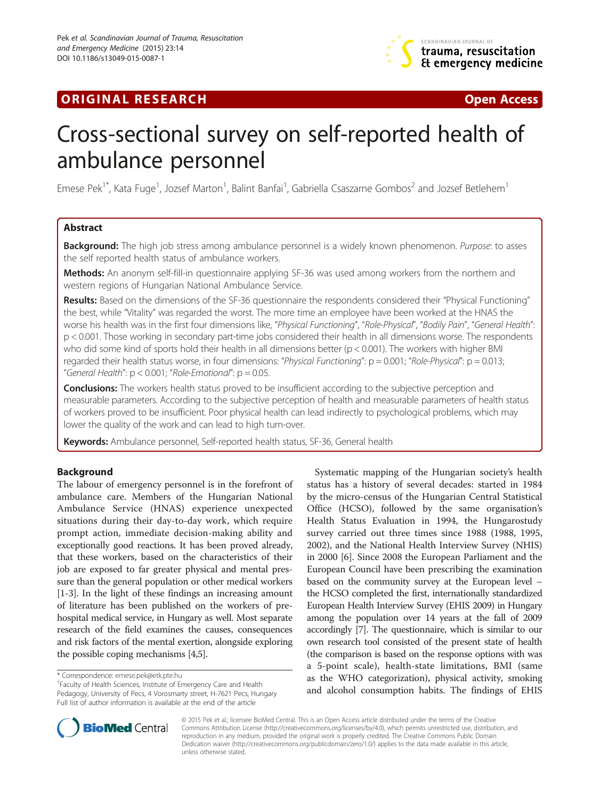

## **ORIGINAL RESEARCH CONFIDENTIAL CONSUMING A LICENS**

# Cross-sectional survey on self-reported health of ambulance personnel

Emese Pek<sup>1\*</sup>, Kata Fuge<sup>1</sup>, Jozsef Marton<sup>1</sup>, Balint Banfai<sup>1</sup>, Gabriella Csaszarne Gombos<sup>2</sup> and Jozsef Betlehem<sup>1</sup>

## Abstract

Background: The high job stress among ambulance personnel is a widely known phenomenon. Purpose: to asses the self reported health status of ambulance workers.

Methods: An anonym self-fill-in questionnaire applying SF-36 was used among workers from the northern and western regions of Hungarian National Ambulance Service.

Results: Based on the dimensions of the SF-36 questionnaire the respondents considered their "Physical Functioning" the best, while "Vitality" was regarded the worst. The more time an employee have been worked at the HNAS the worse his health was in the first four dimensions like, "Physical Functioning", "Role-Physical", "Bodily Pain", "General Health": p < 0.001. Those working in secondary part-time jobs considered their health in all dimensions worse. The respondents who did some kind of sports hold their health in all dimensions better (p < 0.001). The workers with higher BMI regarded their health status worse, in four dimensions: "Physical Functioning":  $p = 0.001$ ; "Role-Physical":  $p = 0.013$ ; "General Health":  $p < 0.001$ ; "Role-Emotional":  $p = 0.05$ .

**Conclusions:** The workers health status proved to be insufficient according to the subjective perception and measurable parameters. According to the subjective perception of health and measurable parameters of health status of workers proved to be insufficient. Poor physical health can lead indirectly to psychological problems, which may lower the quality of the work and can lead to high turn-over.

Keywords: Ambulance personnel, Self-reported health status, SF-36, General health

## Background

The labour of emergency personnel is in the forefront of ambulance care. Members of the Hungarian National Ambulance Service (HNAS) experience unexpected situations during their day-to-day work, which require prompt action, immediate decision-making ability and exceptionally good reactions. It has been proved already, that these workers, based on the characteristics of their job are exposed to far greater physical and mental pressure than the general population or other medical workers [[1-3\]](#page-7-0). In the light of these findings an increasing amount of literature has been published on the workers of prehospital medical service, in Hungary as well. Most separate research of the field examines the causes, consequences and risk factors of the mental exertion, alongside exploring the possible coping mechanisms [[4,5](#page-7-0)].

<sup>1</sup> Faculty of Health Sciences, Institute of Emergency Care and Health Pedagogy, University of Pecs, 4 Vorosmarty street, H-7621 Pecs, Hungary Full list of author information is available at the end of the article

Systematic mapping of the Hungarian society's health status has a history of several decades: started in 1984 by the micro-census of the Hungarian Central Statistical Office (HCSO), followed by the same organisation's Health Status Evaluation in 1994, the Hungarostudy survey carried out three times since 1988 (1988, 1995, 2002), and the National Health Interview Survey (NHIS) in 2000 [[6](#page-7-0)]. Since 2008 the European Parliament and the European Council have been prescribing the examination based on the community survey at the European level – the HCSO completed the first, internationally standardized European Health Interview Survey (EHIS 2009) in Hungary among the population over 14 years at the fall of 2009 accordingly [\[7\]](#page-7-0). The questionnaire, which is similar to our own research tool consisted of the present state of health (the comparison is based on the response options with was a 5-point scale), health-state limitations, BMI (same as the WHO categorization), physical activity, smoking and alcohol consumption habits. The findings of EHIS



© 2015 Pek et al.; licensee BioMed Central. This is an Open Access article distributed under the terms of the Creative Commons Attribution License [\(http://creativecommons.org/licenses/by/4.0\)](http://creativecommons.org/licenses/by/4.0), which permits unrestricted use, distribution, and reproduction in any medium, provided the original work is properly credited. The Creative Commons Public Domain Dedication waiver [\(http://creativecommons.org/publicdomain/zero/1.0/](http://creativecommons.org/publicdomain/zero/1.0/)) applies to the data made available in this article, unless otherwise stated.

<sup>\*</sup> Correspondence: [emese.pek@etk.pte.hu](mailto:emese.pek@etk.pte.hu) <sup>1</sup>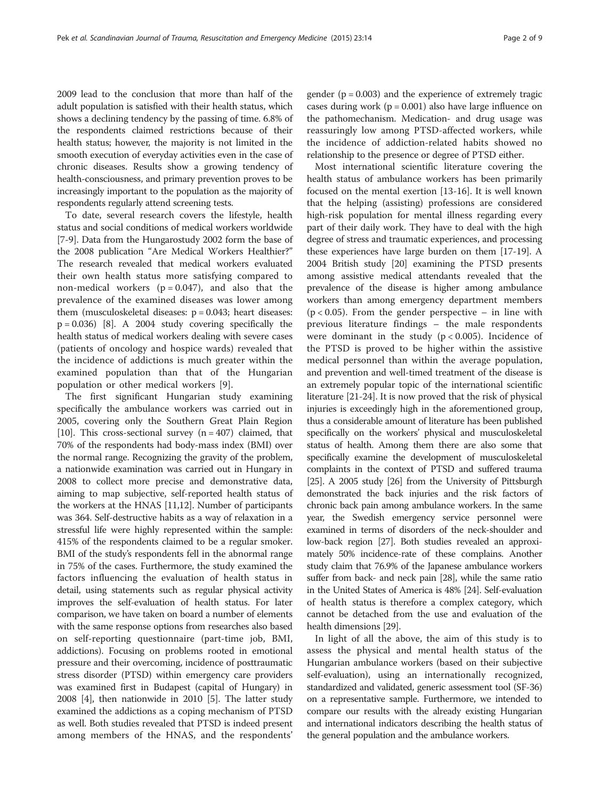2009 lead to the conclusion that more than half of the adult population is satisfied with their health status, which shows a declining tendency by the passing of time. 6.8% of the respondents claimed restrictions because of their health status; however, the majority is not limited in the smooth execution of everyday activities even in the case of chronic diseases. Results show a growing tendency of health-consciousness, and primary prevention proves to be increasingly important to the population as the majority of respondents regularly attend screening tests.

To date, several research covers the lifestyle, health status and social conditions of medical workers worldwide [[7-9\]](#page-7-0). Data from the Hungarostudy 2002 form the base of the 2008 publication "Are Medical Workers Healthier?" The research revealed that medical workers evaluated their own health status more satisfying compared to non-medical workers  $(p = 0.047)$ , and also that the prevalence of the examined diseases was lower among them (musculoskeletal diseases:  $p = 0.043$ ; heart diseases:  $p = 0.036$  [\[8](#page-7-0)]. A 2004 study covering specifically the health status of medical workers dealing with severe cases (patients of oncology and hospice wards) revealed that the incidence of addictions is much greater within the examined population than that of the Hungarian population or other medical workers [[9](#page-7-0)].

The first significant Hungarian study examining specifically the ambulance workers was carried out in 2005, covering only the Southern Great Plain Region [[10](#page-7-0)]. This cross-sectional survey  $(n = 407)$  claimed, that 70% of the respondents had body-mass index (BMI) over the normal range. Recognizing the gravity of the problem, a nationwide examination was carried out in Hungary in 2008 to collect more precise and demonstrative data, aiming to map subjective, self-reported health status of the workers at the HNAS [\[11,12\]](#page-7-0). Number of participants was 364. Self-destructive habits as a way of relaxation in a stressful life were highly represented within the sample: 415% of the respondents claimed to be a regular smoker. BMI of the study's respondents fell in the abnormal range in 75% of the cases. Furthermore, the study examined the factors influencing the evaluation of health status in detail, using statements such as regular physical activity improves the self-evaluation of health status. For later comparison, we have taken on board a number of elements with the same response options from researches also based on self-reporting questionnaire (part-time job, BMI, addictions). Focusing on problems rooted in emotional pressure and their overcoming, incidence of posttraumatic stress disorder (PTSD) within emergency care providers was examined first in Budapest (capital of Hungary) in 2008 [[4](#page-7-0)], then nationwide in 2010 [[5\]](#page-7-0). The latter study examined the addictions as a coping mechanism of PTSD as well. Both studies revealed that PTSD is indeed present among members of the HNAS, and the respondents'

gender ( $p = 0.003$ ) and the experience of extremely tragic cases during work ( $p = 0.001$ ) also have large influence on the pathomechanism. Medication- and drug usage was reassuringly low among PTSD-affected workers, while the incidence of addiction-related habits showed no relationship to the presence or degree of PTSD either.

Most international scientific literature covering the health status of ambulance workers has been primarily focused on the mental exertion [\[13](#page-7-0)-[16](#page-7-0)]. It is well known that the helping (assisting) professions are considered high-risk population for mental illness regarding every part of their daily work. They have to deal with the high degree of stress and traumatic experiences, and processing these experiences have large burden on them [[17](#page-7-0)-[19\]](#page-8-0). A 2004 British study [[20](#page-8-0)] examining the PTSD presents among assistive medical attendants revealed that the prevalence of the disease is higher among ambulance workers than among emergency department members  $(p < 0.05)$ . From the gender perspective – in line with previous literature findings – the male respondents were dominant in the study ( $p < 0.005$ ). Incidence of the PTSD is proved to be higher within the assistive medical personnel than within the average population, and prevention and well-timed treatment of the disease is an extremely popular topic of the international scientific literature [[21-24\]](#page-8-0). It is now proved that the risk of physical injuries is exceedingly high in the aforementioned group, thus a considerable amount of literature has been published specifically on the workers' physical and musculoskeletal status of health. Among them there are also some that specifically examine the development of musculoskeletal complaints in the context of PTSD and suffered trauma [[25](#page-8-0)]. A 2005 study [\[26\]](#page-8-0) from the University of Pittsburgh demonstrated the back injuries and the risk factors of chronic back pain among ambulance workers. In the same year, the Swedish emergency service personnel were examined in terms of disorders of the neck-shoulder and low-back region [\[27\]](#page-8-0). Both studies revealed an approximately 50% incidence-rate of these complains. Another study claim that 76.9% of the Japanese ambulance workers suffer from back- and neck pain [[28](#page-8-0)], while the same ratio in the United States of America is 48% [[24](#page-8-0)]. Self-evaluation of health status is therefore a complex category, which cannot be detached from the use and evaluation of the health dimensions [\[29\]](#page-8-0).

In light of all the above, the aim of this study is to assess the physical and mental health status of the Hungarian ambulance workers (based on their subjective self-evaluation), using an internationally recognized, standardized and validated, generic assessment tool (SF-36) on a representative sample. Furthermore, we intended to compare our results with the already existing Hungarian and international indicators describing the health status of the general population and the ambulance workers.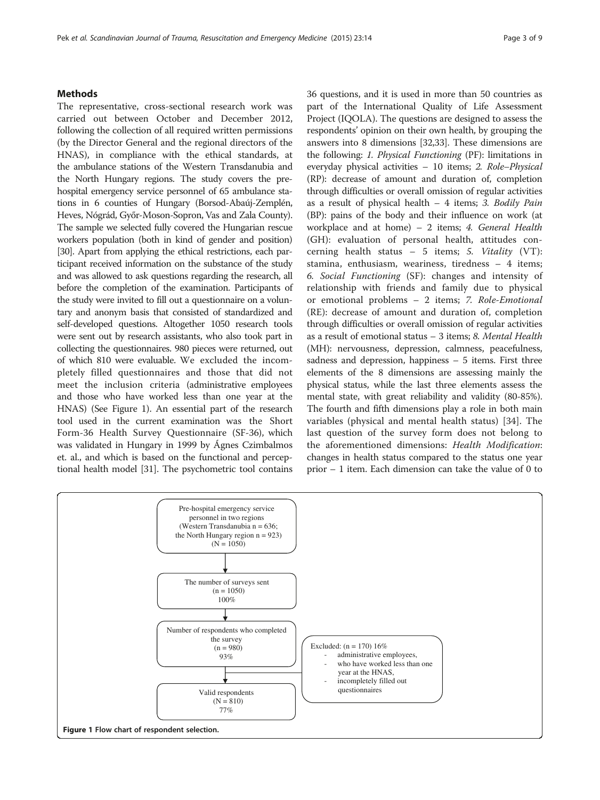## **Methods**

The representative, cross-sectional research work was carried out between October and December 2012, following the collection of all required written permissions (by the Director General and the regional directors of the HNAS), in compliance with the ethical standards, at the ambulance stations of the Western Transdanubia and the North Hungary regions. The study covers the prehospital emergency service personnel of 65 ambulance stations in 6 counties of Hungary (Borsod-Abaúj-Zemplén, Heves, Nógrád, Győr-Moson-Sopron, Vas and Zala County). The sample we selected fully covered the Hungarian rescue workers population (both in kind of gender and position) [[30](#page-8-0)]. Apart from applying the ethical restrictions, each participant received information on the substance of the study and was allowed to ask questions regarding the research, all before the completion of the examination. Participants of the study were invited to fill out a questionnaire on a voluntary and anonym basis that consisted of standardized and self-developed questions. Altogether 1050 research tools were sent out by research assistants, who also took part in collecting the questionnaires. 980 pieces were returned, out of which 810 were evaluable. We excluded the incompletely filled questionnaires and those that did not meet the inclusion criteria (administrative employees and those who have worked less than one year at the HNAS) (See Figure 1). An essential part of the research tool used in the current examination was the Short Form-36 Health Survey Questionnaire (SF-36), which was validated in Hungary in 1999 by Ágnes Czimbalmos et. al., and which is based on the functional and perceptional health model [[31](#page-8-0)]. The psychometric tool contains 36 questions, and it is used in more than 50 countries as part of the International Quality of Life Assessment Project (IQOLA). The questions are designed to assess the respondents' opinion on their own health, by grouping the answers into 8 dimensions [[32](#page-8-0),[33](#page-8-0)]. These dimensions are the following: 1. Physical Functioning (PF): limitations in everyday physical activities – 10 items; 2. Role–Physical (RP): decrease of amount and duration of, completion through difficulties or overall omission of regular activities as a result of physical health  $-4$  items; 3. Bodily Pain (BP): pains of the body and their influence on work (at workplace and at home) – 2 items; 4. General Health (GH): evaluation of personal health, attitudes concerning health status  $-5$  items; 5. Vitality (VT): stamina, enthusiasm, weariness, tiredness – 4 items; 6. Social Functioning (SF): changes and intensity of relationship with friends and family due to physical or emotional problems – 2 items; 7. Role-Emotional (RE): decrease of amount and duration of, completion through difficulties or overall omission of regular activities as a result of emotional status – 3 items; 8. Mental Health (MH): nervousness, depression, calmness, peacefulness, sadness and depression, happiness – 5 items. First three elements of the 8 dimensions are assessing mainly the physical status, while the last three elements assess the mental state, with great reliability and validity (80-85%). The fourth and fifth dimensions play a role in both main variables (physical and mental health status) [[34\]](#page-8-0). The last question of the survey form does not belong to the aforementioned dimensions: Health Modification: changes in health status compared to the status one year prior – 1 item. Each dimension can take the value of 0 to

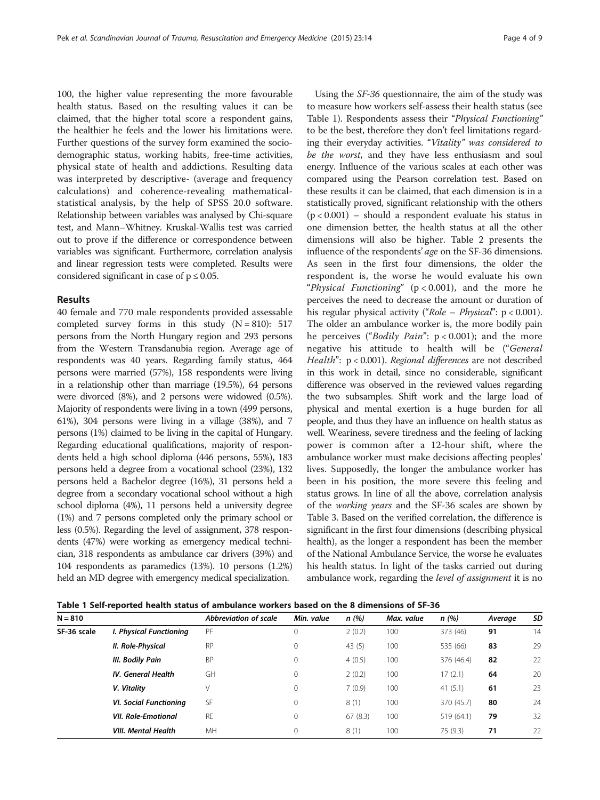100, the higher value representing the more favourable health status. Based on the resulting values it can be claimed, that the higher total score a respondent gains, the healthier he feels and the lower his limitations were. Further questions of the survey form examined the sociodemographic status, working habits, free-time activities, physical state of health and addictions. Resulting data was interpreted by descriptive- (average and frequency calculations) and coherence-revealing mathematicalstatistical analysis, by the help of SPSS 20.0 software. Relationship between variables was analysed by Chi-square test, and Mann–Whitney. Kruskal-Wallis test was carried out to prove if the difference or correspondence between variables was significant. Furthermore, correlation analysis and linear regression tests were completed. Results were considered significant in case of  $p \leq 0.05$ .

## Results

40 female and 770 male respondents provided assessable completed survey forms in this study  $(N = 810)$ : 517 persons from the North Hungary region and 293 persons from the Western Transdanubia region. Average age of respondents was 40 years. Regarding family status, 464 persons were married (57%), 158 respondents were living in a relationship other than marriage (19.5%), 64 persons were divorced (8%), and 2 persons were widowed (0.5%). Majority of respondents were living in a town (499 persons, 61%), 304 persons were living in a village (38%), and 7 persons (1%) claimed to be living in the capital of Hungary. Regarding educational qualifications, majority of respondents held a high school diploma (446 persons, 55%), 183 persons held a degree from a vocational school (23%), 132 persons held a Bachelor degree (16%), 31 persons held a degree from a secondary vocational school without a high school diploma (4%), 11 persons held a university degree (1%) and 7 persons completed only the primary school or less (0.5%). Regarding the level of assignment, 378 respondents (47%) were working as emergency medical technician, 318 respondents as ambulance car drivers (39%) and 104 respondents as paramedics (13%). 10 persons (1.2%) held an MD degree with emergency medical specialization.

Using the SF-36 questionnaire, the aim of the study was to measure how workers self-assess their health status (see Table 1). Respondents assess their "Physical Functioning" to be the best, therefore they don't feel limitations regarding their everyday activities. "Vitality" was considered to be the worst, and they have less enthusiasm and soul energy. Influence of the various scales at each other was compared using the Pearson correlation test. Based on these results it can be claimed, that each dimension is in a statistically proved, significant relationship with the others  $(p < 0.001)$  – should a respondent evaluate his status in one dimension better, the health status at all the other dimensions will also be higher. Table [2](#page-4-0) presents the influence of the respondents' age on the SF-36 dimensions. As seen in the first four dimensions, the older the respondent is, the worse he would evaluate his own "Physical Functioning"  $(p < 0.001)$ , and the more he perceives the need to decrease the amount or duration of his regular physical activity (" $Role - Physical$ ":  $p < 0.001$ ). The older an ambulance worker is, the more bodily pain he perceives ("Bodily Pain":  $p < 0.001$ ); and the more negative his attitude to health will be ("General Health": p < 0.001). Regional differences are not described in this work in detail, since no considerable, significant difference was observed in the reviewed values regarding the two subsamples. Shift work and the large load of physical and mental exertion is a huge burden for all people, and thus they have an influence on health status as well. Weariness, severe tiredness and the feeling of lacking power is common after a 12-hour shift, where the ambulance worker must make decisions affecting peoples' lives. Supposedly, the longer the ambulance worker has been in his position, the more severe this feeling and status grows. In line of all the above, correlation analysis of the working years and the SF-36 scales are shown by Table [3](#page-4-0). Based on the verified correlation, the difference is significant in the first four dimensions (describing physical health), as the longer a respondent has been the member of the National Ambulance Service, the worse he evaluates his health status. In light of the tasks carried out during ambulance work, regarding the level of assignment it is no

|  |  |  |  |  |  | Table 1 Self-reported health status of ambulance workers based on the 8 dimensions of SF-36 |
|--|--|--|--|--|--|---------------------------------------------------------------------------------------------|
|--|--|--|--|--|--|---------------------------------------------------------------------------------------------|

| $N = 810$   |                               | Abbreviation of scale | Min. value | n(%)    | Max. value | n(%)       | Average | <b>SD</b> |
|-------------|-------------------------------|-----------------------|------------|---------|------------|------------|---------|-----------|
| SF-36 scale | I. Physical Functioning       | PF                    |            | 2(0.2)  | 100        | 373 (46)   | 91      | 14        |
|             | II. Role-Physical             | <b>RP</b>             |            | 43 (5)  | 100        | 535 (66)   | 83      | 29        |
|             | III. Bodily Pain              | <b>BP</b>             |            | 4(0.5)  | 100        | 376 (46.4) | 82      | 22        |
|             | <b>IV.</b> General Health     | GH                    |            | 2(0.2)  | 100        | 17(2.1)    | 64      | 20        |
|             | V. Vitality                   | V                     |            | 7(0.9)  | 100        | 41(5.1)    | 61      | 23        |
|             | <b>VI. Social Functioning</b> | SF                    |            | 8(1)    | 100        | 370 (45.7) | 80      | 24        |
|             | <b>VII. Role-Emotional</b>    | <b>RE</b>             |            | 67(8.3) | 100        | 519 (64.1) | 79      | 32        |
|             | <b>VIII. Mental Health</b>    | MH                    |            | 8(1)    | 100        | 75 (9.3)   | 71      | 22        |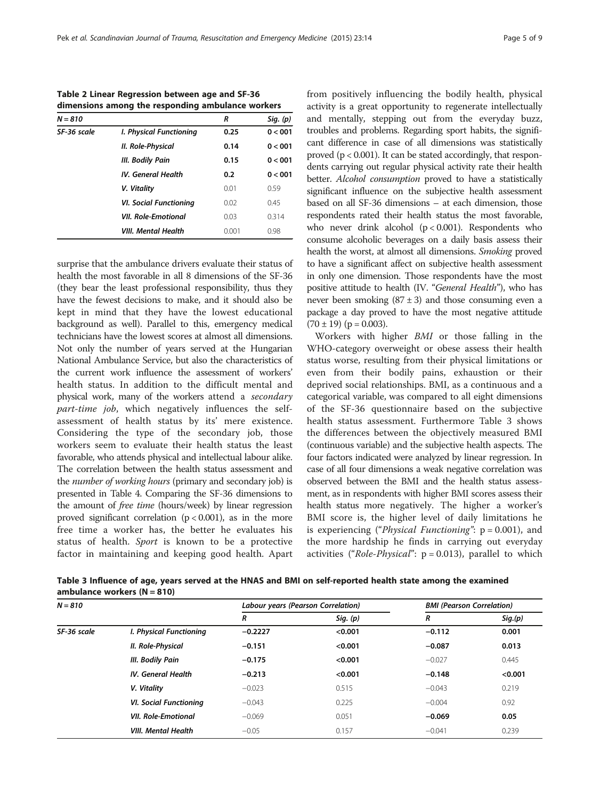<span id="page-4-0"></span>Table 2 Linear Regression between age and SF-36 dimensions among the responding ambulance workers

| $N = 810$   |                            | R     | Sig. $(p)$ |  |
|-------------|----------------------------|-------|------------|--|
| SF-36 scale | I. Physical Functioning    | 0.25  | 0 < 001    |  |
|             | II. Role-Physical          | 0.14  | 0 < 001    |  |
|             | III. Bodily Pain           | 0.15  | 0 < 001    |  |
|             | IV. General Health         | 0.2   | 0 < 001    |  |
|             | V. Vitality                | 0.01  | 0.59       |  |
|             | VI. Social Functioning     | 0.02  | 0.45       |  |
|             | <b>VII. Role-Emotional</b> | 0.03  | 0.314      |  |
|             | <b>VIII. Mental Health</b> | 0.001 | 0.98       |  |

surprise that the ambulance drivers evaluate their status of health the most favorable in all 8 dimensions of the SF-36 (they bear the least professional responsibility, thus they have the fewest decisions to make, and it should also be kept in mind that they have the lowest educational background as well). Parallel to this, emergency medical technicians have the lowest scores at almost all dimensions. Not only the number of years served at the Hungarian National Ambulance Service, but also the characteristics of the current work influence the assessment of workers' health status. In addition to the difficult mental and physical work, many of the workers attend a secondary part-time job, which negatively influences the selfassessment of health status by its' mere existence. Considering the type of the secondary job, those workers seem to evaluate their health status the least favorable, who attends physical and intellectual labour alike. The correlation between the health status assessment and the number of working hours (primary and secondary job) is presented in Table [4.](#page-5-0) Comparing the SF-36 dimensions to the amount of free time (hours/week) by linear regression proved significant correlation  $(p < 0.001)$ , as in the more free time a worker has, the better he evaluates his status of health. Sport is known to be a protective factor in maintaining and keeping good health. Apart from positively influencing the bodily health, physical activity is a great opportunity to regenerate intellectually and mentally, stepping out from the everyday buzz, troubles and problems. Regarding sport habits, the significant difference in case of all dimensions was statistically proved  $(p < 0.001)$ . It can be stated accordingly, that respondents carrying out regular physical activity rate their health better. Alcohol consumption proved to have a statistically significant influence on the subjective health assessment based on all SF-36 dimensions – at each dimension, those respondents rated their health status the most favorable, who never drink alcohol  $(p < 0.001)$ . Respondents who consume alcoholic beverages on a daily basis assess their health the worst, at almost all dimensions. Smoking proved to have a significant affect on subjective health assessment in only one dimension. Those respondents have the most positive attitude to health (IV. "General Health"), who has never been smoking  $(87 \pm 3)$  and those consuming even a package a day proved to have the most negative attitude  $(70 \pm 19)$  (p = 0.003).

Workers with higher BMI or those falling in the WHO-category overweight or obese assess their health status worse, resulting from their physical limitations or even from their bodily pains, exhaustion or their deprived social relationships. BMI, as a continuous and a categorical variable, was compared to all eight dimensions of the SF-36 questionnaire based on the subjective health status assessment. Furthermore Table 3 shows the differences between the objectively measured BMI (continuous variable) and the subjective health aspects. The four factors indicated were analyzed by linear regression. In case of all four dimensions a weak negative correlation was observed between the BMI and the health status assessment, as in respondents with higher BMI scores assess their health status more negatively. The higher a worker's BMI score is, the higher level of daily limitations he is experiencing ("*Physical Functioning*":  $p = 0.001$ ), and the more hardship he finds in carrying out everyday activities ("Role-Physical":  $p = 0.013$ ), parallel to which

Table 3 Influence of age, years served at the HNAS and BMI on self-reported health state among the examined ambulance workers  $(N = 810)$ 

| $N = 810$   |                               | Labour years (Pearson Correlation) |          | <b>BMI (Pearson Correlation)</b> |         |  |
|-------------|-------------------------------|------------------------------------|----------|----------------------------------|---------|--|
|             |                               | R                                  | Sig. (p) | R                                | Sig(p)  |  |
| SF-36 scale | I. Physical Functioning       | $-0.2227$                          | < 0.001  | $-0.112$                         | 0.001   |  |
|             | II. Role-Physical             | $-0.151$                           | < 0.001  | $-0.087$                         | 0.013   |  |
|             | III. Bodily Pain              | $-0.175$                           | < 0.001  | $-0.027$                         | 0.445   |  |
|             | IV. General Health            | $-0.213$                           | < 0.001  | $-0.148$                         | < 0.001 |  |
|             | V. Vitality                   | $-0.023$                           | 0.515    | $-0.043$                         | 0.219   |  |
|             | <b>VI. Social Functioning</b> | $-0.043$                           | 0.225    | $-0.004$                         | 0.92    |  |
|             | <b>VII. Role-Emotional</b>    | $-0.069$                           | 0.051    | $-0.069$                         | 0.05    |  |
|             | <b>VIII. Mental Health</b>    | $-0.05$                            | 0.157    | $-0.041$                         | 0.239   |  |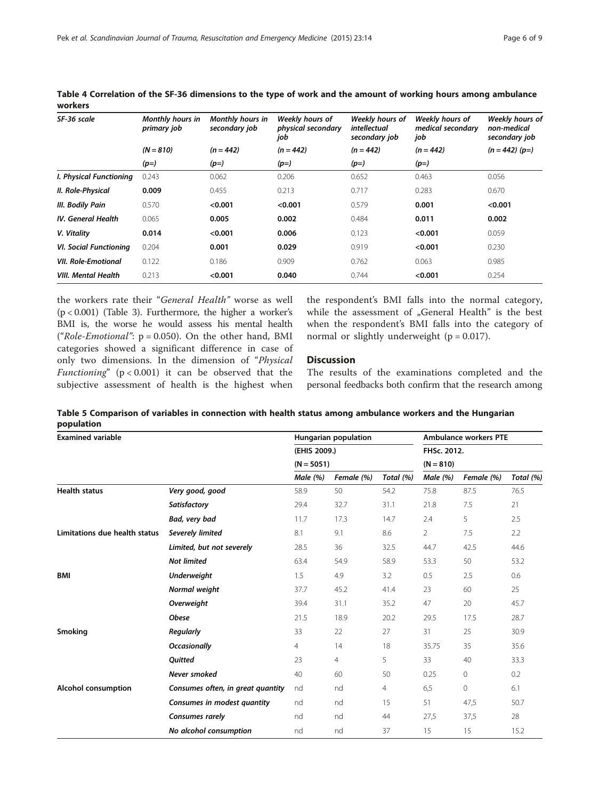| SF-36 scale                   | <b>Monthly hours in</b><br>primary job | <b>Monthly hours in</b><br>secondary job | Weekly hours of<br>physical secondary<br>job | Weekly hours of<br><i>intellectual</i><br>secondary job | Weekly hours of<br>medical secondary<br>job | Weekly hours of<br>non-medical<br>secondary job |  |
|-------------------------------|----------------------------------------|------------------------------------------|----------------------------------------------|---------------------------------------------------------|---------------------------------------------|-------------------------------------------------|--|
|                               | $(N = 810)$                            | $(n = 442)$                              | $(n = 442)$                                  | $(n = 442)$                                             | $(n = 442)$                                 | $(n = 442) (p=)$                                |  |
|                               | $(p=)$                                 | $(p=)$                                   | $(p=)$                                       | $(p=)$                                                  | $(p=)$                                      |                                                 |  |
| I. Physical Functioning       | 0.243                                  | 0.062                                    | 0.206                                        | 0.652                                                   | 0.463                                       | 0.056                                           |  |
| II. Role-Physical             | 0.009                                  | 0.455                                    | 0.213                                        | 0.717                                                   | 0.283                                       | 0.670                                           |  |
| III. Bodily Pain              | 0.570                                  | < 0.001                                  | < 0.001                                      | 0.579                                                   | 0.001                                       | < 0.001                                         |  |
| <b>IV.</b> General Health     | 0.065                                  | 0.005                                    | 0.002                                        | 0.484                                                   | 0.011                                       | 0.002                                           |  |
| V. Vitality                   | 0.014                                  | < 0.001                                  | 0.006                                        | 0.123                                                   | < 0.001                                     | 0.059                                           |  |
| <b>VI. Social Functioning</b> | 0.204                                  | 0.001                                    | 0.029                                        | 0.919                                                   | < 0.001                                     | 0.230                                           |  |
| <b>VII. Role-Emotional</b>    | 0.122                                  | 0.186                                    | 0.909                                        | 0.762                                                   | 0.063                                       | 0.985                                           |  |
| <b>VIII. Mental Health</b>    | 0.213                                  | < 0.001                                  | 0.040                                        | 0.744                                                   | < 0.001                                     | 0.254                                           |  |

<span id="page-5-0"></span>Table 4 Correlation of the SF-36 dimensions to the type of work and the amount of working hours among ambulance workers

the workers rate their "General Health" worse as well (p < 0.001) (Table [3](#page-4-0)). Furthermore, the higher a worker's BMI is, the worse he would assess his mental health ("Role-Emotional":  $p = 0.050$ ). On the other hand, BMI categories showed a significant difference in case of only two dimensions. In the dimension of "Physical *Functioning*" ( $p < 0.001$ ) it can be observed that the subjective assessment of health is the highest when

the respondent's BMI falls into the normal category, while the assessment of "General Health" is the best when the respondent's BMI falls into the category of normal or slightly underweight  $(p = 0.017)$ .

### **Discussion**

The results of the examinations completed and the personal feedbacks both confirm that the research among

| Table 5 Comparison of variables in connection with health status among ambulance workers and the Hungarian |  |  |  |
|------------------------------------------------------------------------------------------------------------|--|--|--|
| population                                                                                                 |  |  |  |

| <b>Examined variable</b>      |                                   | Hungarian population |                |           | <b>Ambulance workers PTE</b> |              |           |  |
|-------------------------------|-----------------------------------|----------------------|----------------|-----------|------------------------------|--------------|-----------|--|
|                               |                                   | (EHIS 2009.)         |                |           | FHSc. 2012.                  |              |           |  |
|                               |                                   | $(N = 5051)$         |                |           | $(N = 810)$                  |              |           |  |
|                               |                                   | Male (%)             | Female (%)     | Total (%) | Male (%)                     | Female (%)   | Total (%) |  |
| <b>Health status</b>          | Very good, good                   | 58.9                 | 50             | 54.2      | 75.8                         | 87.5         | 76.5      |  |
|                               | Satisfactory                      | 29.4                 | 32.7           | 31.1      | 21.8                         | 7.5          | 21        |  |
|                               | Bad, very bad                     | 11.7                 | 17.3           | 14.7      | 2.4                          | 5            | 2.5       |  |
| Limitations due health status | Severely limited                  | 8.1                  | 9.1            | 8.6       | $\overline{2}$               | 7.5          | 2.2       |  |
|                               | Limited, but not severely         | 28.5                 | 36             | 32.5      | 44.7                         | 42.5         | 44.6      |  |
|                               | <b>Not limited</b>                | 63.4                 | 54.9           | 58.9      | 53.3                         | 50           | 53.2      |  |
| <b>BMI</b>                    | <b>Underweight</b>                | 1.5                  | 4.9            | 3.2       | 0.5                          | 2.5          | 0.6       |  |
|                               | Normal weight                     | 37.7                 | 45.2           | 41.4      | 23                           | 60           | 25        |  |
|                               | Overweight                        | 39.4                 | 31.1           | 35.2      | 47                           | 20           | 45.7      |  |
|                               | Obese                             | 21.5                 | 18.9           | 20.2      | 29.5                         | 17.5         | 28.7      |  |
| Smoking                       | Regularly                         | 33                   | 22             | 27        | 31                           | 25           | 30.9      |  |
|                               | <b>Occasionally</b>               | 4                    | 14             | 18        | 35.75                        | 35           | 35.6      |  |
|                               | Quitted                           | 23                   | $\overline{4}$ | 5         | 33                           | 40           | 33.3      |  |
|                               | Never smoked                      | 40                   | 60             | 50        | 0.25                         | $\mathbf{0}$ | 0.2       |  |
| Alcohol consumption           | Consumes often, in great quantity | nd                   | nd             | 4         | 6,5                          | $\mathbf{0}$ | 6.1       |  |
|                               | Consumes in modest quantity       | nd                   | nd             | 15        | 51                           | 47,5         | 50.7      |  |
|                               | Consumes rarely                   | nd                   | nd             | 44        | 27,5                         | 37,5         | 28        |  |
|                               | No alcohol consumption            | nd                   | nd             | 37        | 15                           | 15           | 15.2      |  |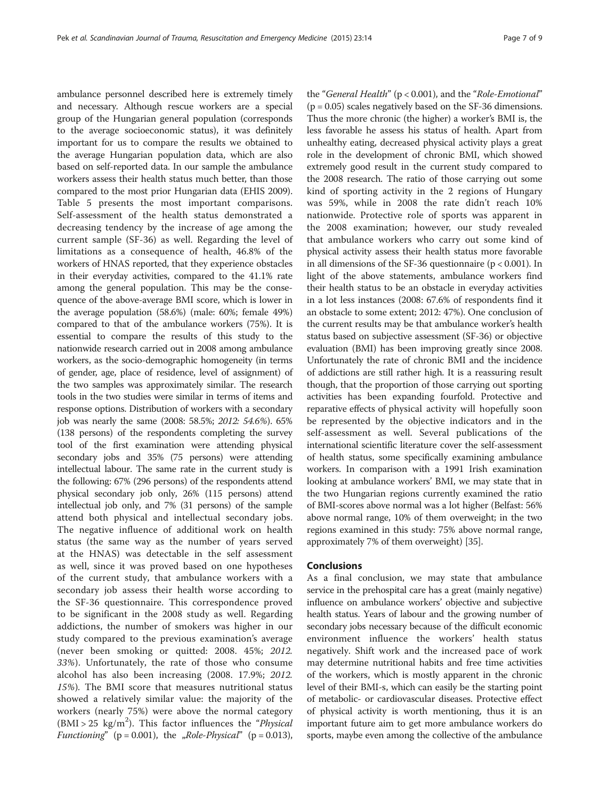ambulance personnel described here is extremely timely and necessary. Although rescue workers are a special group of the Hungarian general population (corresponds to the average socioeconomic status), it was definitely important for us to compare the results we obtained to the average Hungarian population data, which are also based on self-reported data. In our sample the ambulance workers assess their health status much better, than those compared to the most prior Hungarian data (EHIS 2009). Table [5](#page-5-0) presents the most important comparisons. Self-assessment of the health status demonstrated a decreasing tendency by the increase of age among the current sample (SF-36) as well. Regarding the level of limitations as a consequence of health, 46.8% of the workers of HNAS reported, that they experience obstacles in their everyday activities, compared to the 41.1% rate among the general population. This may be the consequence of the above-average BMI score, which is lower in the average population (58.6%) (male: 60%; female 49%) compared to that of the ambulance workers (75%). It is essential to compare the results of this study to the nationwide research carried out in 2008 among ambulance workers, as the socio-demographic homogeneity (in terms of gender, age, place of residence, level of assignment) of the two samples was approximately similar. The research tools in the two studies were similar in terms of items and response options. Distribution of workers with a secondary job was nearly the same (2008: 58.5%; 2012: 54.6%). 65% (138 persons) of the respondents completing the survey tool of the first examination were attending physical secondary jobs and 35% (75 persons) were attending intellectual labour. The same rate in the current study is the following: 67% (296 persons) of the respondents attend physical secondary job only, 26% (115 persons) attend intellectual job only, and 7% (31 persons) of the sample attend both physical and intellectual secondary jobs. The negative influence of additional work on health status (the same way as the number of years served at the HNAS) was detectable in the self assessment as well, since it was proved based on one hypotheses of the current study, that ambulance workers with a secondary job assess their health worse according to the SF-36 questionnaire. This correspondence proved to be significant in the 2008 study as well. Regarding addictions, the number of smokers was higher in our study compared to the previous examination's average (never been smoking or quitted: 2008. 45%; 2012. 33%). Unfortunately, the rate of those who consume alcohol has also been increasing (2008. 17.9%; 2012. 15%). The BMI score that measures nutritional status showed a relatively similar value: the majority of the workers (nearly 75%) were above the normal category  $(BMI > 25 \text{ kg/m}^2)$ . This factor influences the "*Physical* Functioning" ( $p = 0.001$ ), the "Role-Physical" ( $p = 0.013$ ),

the "General Health" (p < 0.001), and the "Role-Emotional"  $(p = 0.05)$  scales negatively based on the SF-36 dimensions. Thus the more chronic (the higher) a worker's BMI is, the less favorable he assess his status of health. Apart from unhealthy eating, decreased physical activity plays a great role in the development of chronic BMI, which showed extremely good result in the current study compared to the 2008 research. The ratio of those carrying out some kind of sporting activity in the 2 regions of Hungary was 59%, while in 2008 the rate didn't reach 10% nationwide. Protective role of sports was apparent in the 2008 examination; however, our study revealed that ambulance workers who carry out some kind of physical activity assess their health status more favorable in all dimensions of the SF-36 questionnaire ( $p < 0.001$ ). In light of the above statements, ambulance workers find their health status to be an obstacle in everyday activities in a lot less instances (2008: 67.6% of respondents find it an obstacle to some extent; 2012: 47%). One conclusion of the current results may be that ambulance worker's health status based on subjective assessment (SF-36) or objective evaluation (BMI) has been improving greatly since 2008. Unfortunately the rate of chronic BMI and the incidence of addictions are still rather high. It is a reassuring result though, that the proportion of those carrying out sporting activities has been expanding fourfold. Protective and reparative effects of physical activity will hopefully soon be represented by the objective indicators and in the self-assessment as well. Several publications of the international scientific literature cover the self-assessment of health status, some specifically examining ambulance workers. In comparison with a 1991 Irish examination looking at ambulance workers' BMI, we may state that in the two Hungarian regions currently examined the ratio of BMI-scores above normal was a lot higher (Belfast: 56% above normal range, 10% of them overweight; in the two regions examined in this study: 75% above normal range, approximately 7% of them overweight) [[35\]](#page-8-0).

## Conclusions

As a final conclusion, we may state that ambulance service in the prehospital care has a great (mainly negative) influence on ambulance workers' objective and subjective health status. Years of labour and the growing number of secondary jobs necessary because of the difficult economic environment influence the workers' health status negatively. Shift work and the increased pace of work may determine nutritional habits and free time activities of the workers, which is mostly apparent in the chronic level of their BMI-s, which can easily be the starting point of metabolic- or cardiovascular diseases. Protective effect of physical activity is worth mentioning, thus it is an important future aim to get more ambulance workers do sports, maybe even among the collective of the ambulance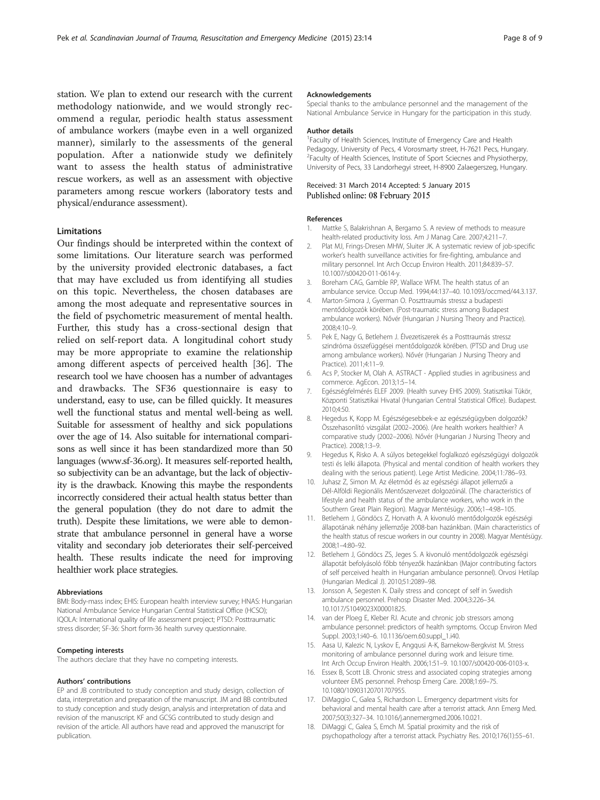<span id="page-7-0"></span>station. We plan to extend our research with the current methodology nationwide, and we would strongly recommend a regular, periodic health status assessment of ambulance workers (maybe even in a well organized manner), similarly to the assessments of the general population. After a nationwide study we definitely want to assess the health status of administrative rescue workers, as well as an assessment with objective parameters among rescue workers (laboratory tests and physical/endurance assessment).

#### Limitations

Our findings should be interpreted within the context of some limitations. Our literature search was performed by the university provided electronic databases, a fact that may have excluded us from identifying all studies on this topic. Nevertheless, the chosen databases are among the most adequate and representative sources in the field of psychometric measurement of mental health. Further, this study has a cross-sectional design that relied on self-report data. A longitudinal cohort study may be more appropriate to examine the relationship among different aspects of perceived health [\[36\]](#page-8-0). The research tool we have choosen has a number of advantages and drawbacks. The SF36 questionnaire is easy to understand, easy to use, can be filled quickly. It measures well the functional status and mental well-being as well. Suitable for assessment of healthy and sick populations over the age of 14. Also suitable for international comparisons as well since it has been standardized more than 50 languages [\(www.sf-36.org](http://www.sf-36.org)). It measures self-reported health, so subjectivity can be an advantage, but the lack of objectivity is the drawback. Knowing this maybe the respondents incorrectly considered their actual health status better than the general population (they do not dare to admit the truth). Despite these limitations, we were able to demonstrate that ambulance personnel in general have a worse vitality and secondary job deteriorates their self-perceived health. These results indicate the need for improving healthier work place strategies.

#### Abbreviations

BMI: Body-mass index; EHIS: European health interview survey; HNAS: Hungarian National Ambulance Service Hungarian Central Statistical Office (HCSO); IQOLA: International quality of life assessment project; PTSD: Posttraumatic stress disorder; SF-36: Short form-36 health survey questionnaire.

#### Competing interests

The authors declare that they have no competing interests.

#### Authors' contributions

EP and JB contributed to study conception and study design, collection of data, interpretation and preparation of the manuscript. JM and BB contributed to study conception and study design, analysis and interpretation of data and revision of the manuscript. KF and GCSG contributed to study design and revision of the article. All authors have read and approved the manuscript for publication.

#### Acknowledgements

Special thanks to the ambulance personnel and the management of the National Ambulance Service in Hungary for the participation in this study.

#### Author details

<sup>1</sup> Faculty of Health Sciences, Institute of Emergency Care and Health Pedagogy, University of Pecs, 4 Vorosmarty street, H-7621 Pecs, Hungary. <sup>2</sup> Faculty of Health Sciences, Institute of Sport Sciecnes and Physiotherpy University of Pecs, 33 Landorhegyi street, H-8900 Zalaegerszeg, Hungary.

#### Received: 31 March 2014 Accepted: 5 January 2015 Published online: 08 February 2015

#### References

- 1. Mattke S, Balakrishnan A, Bergamo S. A review of methods to measure health-related productivity loss. Am J Manag Care. 2007;4:211-7.
- 2. Plat MJ, Frings-Dresen MHW, Sluiter JK. A systematic review of job-specific worker's health surveillance activities for fire-fighting, ambulance and military personnel. Int Arch Occup Environ Health. 2011;84:839–57. 10.1007/s00420-011-0614-y.
- 3. Boreham CAG, Gamble RP, Wallace WFM. The health status of an ambulance service. Occup Med. 1994;44:137–40. 10.1093/occmed/44.3.137.
- 4. Marton-Simora J, Gyerman O. Poszttraumás stressz a budapesti mentődolgozók körében. (Post-traumatic stress among Budapest ambulance workers). Nővér (Hungarian J Nursing Theory and Practice). 2008;4:10–9.
- 5. Pek E, Nagy G, Betlehem J. Élvezetiszerek és a Posttraumás stressz szindróma összefüggései mentődolgozók körében. (PTSD and Drug use among ambulance workers). Nővér (Hungarian J Nursing Theory and Practice). 2011;4:11–9.
- 6. Acs P, Stocker M, Olah A. ASTRACT Applied studies in agribusiness and commerce. AgEcon. 2013;1:5–14.
- 7. Egészségfelmérés ELEF 2009. (Health survey EHIS 2009). Statisztikai Tükör, Központi Statisztikai Hivatal (Hungarian Central Statistical Office). Budapest. 2010;4:50.
- 8. Hegedus K, Kopp M. Egészségesebbek-e az egészségügyben dolgozók? Összehasonlító vizsgálat (2002–2006). (Are health workers healthier? A comparative study (2002–2006). Nővér (Hungarian J Nursing Theory and Practice). 2008;1:3–9.
- 9. Hegedus K, Risko A. A súlyos betegekkel foglalkozó egészségügyi dolgozók testi és lelki állapota. (Physical and mental condition of health workers they dealing with the serious patient). Lege Artist Medicine. 2004;11:786–93.
- 10. Juhasz Z, Simon M. Az életmód és az egészségi állapot jellemzői a Dél-Alföldi Regionális Mentőszervezet dolgozóinál. (The characteristics of lifestyle and health status of the ambulance workers, who work in the Southern Great Plain Region). Magyar Mentésügy. 2006;1–4:98–105.
- 11. Betlehem J, Göndöcs Z, Horvath A. A kivonuló mentődolgozók egészségi állapotának néhány jellemzője 2008-ban hazánkban. (Main characteristics of the health status of rescue workers in our country in 2008). Magyar Mentésügy. 2008;1–4:80–92.
- 12. Betlehem J, Göndöcs ZS, Jeges S. A kivonuló mentődolgozók egészségi állapotát befolyásoló főbb tényezők hazánkban (Major contributing factors of self perceived health in Hungarian ambulance personnel). Orvosi Hetilap (Hungarian Medical J). 2010;51:2089–98.
- 13. Jonsson A, Segesten K. Daily stress and concept of self in Swedish ambulance personnel. Prehosp Disaster Med. 2004;3:226–34. 10.1017/S1049023X00001825.
- 14. van der Ploeg E, Kleber RJ. Acute and chronic job stressors among ambulance personnel: predictors of health symptoms. Occup Environ Med Suppl. 2003;1:i40–6. 10.1136/oem.60.suppl\_1.i40.
- 15. Aasa U, Kalezic N, Lyskov E, Angqusi A-K, Barnekow-Bergkvist M. Stress monitoring of ambulance personnel during work and leisure time. Int Arch Occup Environ Health. 2006;1:51–9. 10.1007/s00420-006-0103-x.
- 16. Essex B, Scott LB. Chronic stress and associated coping strategies among volunteer EMS personnel. Prehosp Emerg Care. 2008;1:69–75. 10.1080/10903120701707955.
- 17. DiMaggio C, Galea S, Richardson L. Emergency department visits for behavioral and mental health care after a terrorist attack. Ann Emerg Med. 2007;50(3):327–34. 10.1016/j.annemergmed.2006.10.021.
- 18. DiMaggi C, Galea S, Emch M. Spatial proximity and the risk of psychopathology after a terrorist attack. Psychiatry Res. 2010;176(1):55–61.